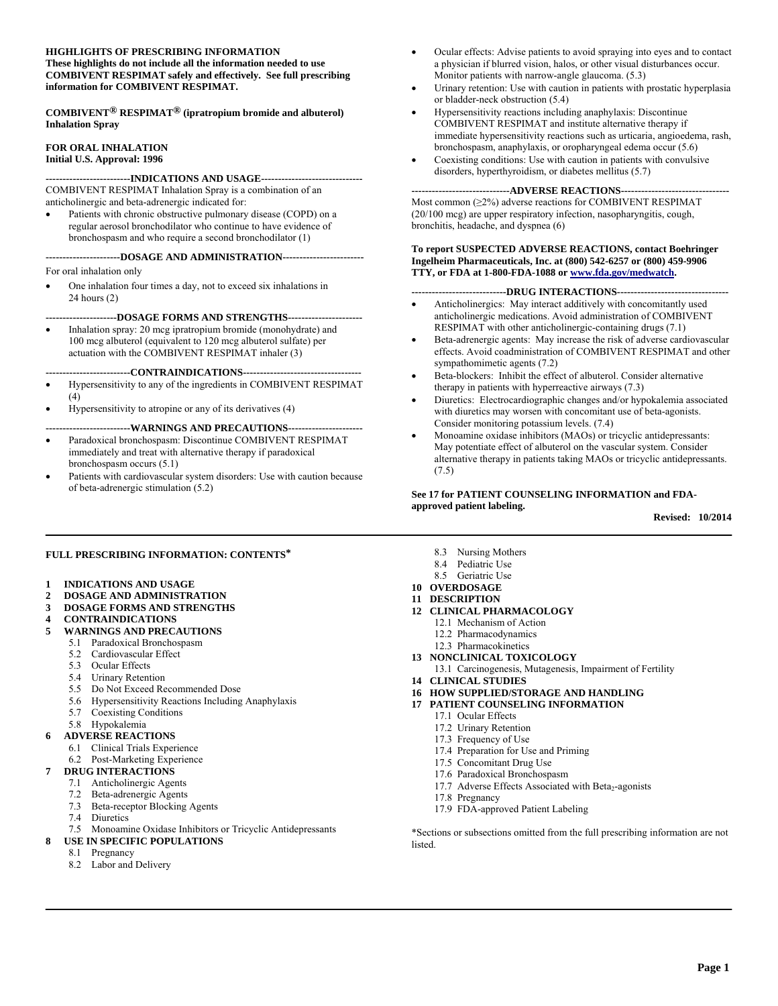#### **HIGHLIGHTS OF PRESCRIBING INFORMATION These highlights do not include all the information needed to use COMBIVENT RESPIMAT safely and effectively. See full prescribing information for COMBIVENT RESPIMAT.**

**COMBIVENT® RESPIMAT® (ipratropium bromide and albuterol) Inhalation Spray** 

## **FOR ORAL INHALATION Initial U.S. Approval: 1996**

**-------------------------INDICATIONS AND USAGE------------------------------**  COMBIVENT RESPIMAT Inhalation Spray is a combination of an anticholinergic and beta-adrenergic indicated for:

 Patients with chronic obstructive pulmonary disease (COPD) on a regular aerosol bronchodilator who continue to have evidence of bronchospasm and who require a second bronchodilator (1)

## **----------------------DOSAGE AND ADMINISTRATION------------------------**  For oral inhalation only

 One inhalation four times a day, not to exceed six inhalations in 24 hours (2)

**---------------------DOSAGE FORMS AND STRENGTHS----------------------** 

 Inhalation spray: 20 mcg ipratropium bromide (monohydrate) and 100 mcg albuterol (equivalent to 120 mcg albuterol sulfate) per actuation with the COMBIVENT RESPIMAT inhaler (3)

**-------------------------CONTRAINDICATIONS-----------------------------------** 

- Hypersensitivity to any of the ingredients in COMBIVENT RESPIMAT  $(4)$
- Hypersensitivity to atropine or any of its derivatives (4)

#### **-------------------------WARNINGS AND PRECAUTIONS----------------------**

- Paradoxical bronchospasm: Discontinue COMBIVENT RESPIMAT immediately and treat with alternative therapy if paradoxical bronchospasm occurs (5.1)
- Patients with cardiovascular system disorders: Use with caution because of beta-adrenergic stimulation (5.2)
- Ocular effects: Advise patients to avoid spraying into eyes and to contact a physician if blurred vision, halos, or other visual disturbances occur. Monitor patients with narrow-angle glaucoma. (5.3)
- Urinary retention: Use with caution in patients with prostatic hyperplasia or bladder-neck obstruction (5.4)
- Hypersensitivity reactions including anaphylaxis: Discontinue COMBIVENT RESPIMAT and institute alternative therapy if immediate hypersensitivity reactions such as urticaria, angioedema, rash, bronchospasm, anaphylaxis, or oropharyngeal edema occur (5.6)
- Coexisting conditions: Use with caution in patients with convulsive disorders, hyperthyroidism, or diabetes mellitus (5.7)

#### **-----------------------------ADVERSE REACTIONS--------------------------------**

Most common (≥2%) adverse reactions for COMBIVENT RESPIMAT (20/100 mcg) are upper respiratory infection, nasopharyngitis, cough, bronchitis, headache, and dyspnea (6)

### **To report SUSPECTED ADVERSE REACTIONS, contact Boehringer Ingelheim Pharmaceuticals, Inc. at (800) 542-6257 or (800) 459-9906 TTY, or FDA at 1-800-FDA-1088 or www.fda.gov/medwatch.**

### **----------------------------DRUG INTERACTIONS---------------------------------**

- Anticholinergics: May interact additively with concomitantly used anticholinergic medications. Avoid administration of COMBIVENT RESPIMAT with other anticholinergic-containing drugs (7.1)
- Beta-adrenergic agents: May increase the risk of adverse cardiovascular effects. Avoid coadministration of COMBIVENT RESPIMAT and other sympathomimetic agents (7.2)
- Beta-blockers: Inhibit the effect of albuterol. Consider alternative therapy in patients with hyperreactive airways (7.3)
- Diuretics: Electrocardiographic changes and/or hypokalemia associated with diuretics may worsen with concomitant use of beta-agonists. Consider monitoring potassium levels. (7.4)
- Monoamine oxidase inhibitors (MAOs) or tricyclic antidepressants: May potentiate effect of albuterol on the vascular system. Consider alternative therapy in patients taking MAOs or tricyclic antidepressants. (7.5)

### **See 17 for PATIENT COUNSELING INFORMATION and FDAapproved patient labeling.**

**Revised: 10/2014** 

## **FULL PRESCRIBING INFORMATION: CONTENTS\***

- **1 INDICATIONS AND USAGE**
- **2 DOSAGE AND ADMINISTRATION**
- **3 DOSAGE FORMS AND STRENGTHS**
- **4 CONTRAINDICATIONS**
- **5 WARNINGS AND PRECAUTIONS**
	- 5.1 Paradoxical Bronchospasm
	- 5.2 Cardiovascular Effect
	- 5.3 Ocular Effects
	- 5.4 Urinary Retention
	- 5.5 Do Not Exceed Recommended Dose
	- 5.6 Hypersensitivity Reactions Including Anaphylaxis
	- 5.7 Coexisting Conditions
	- 5.8 Hypokalemia
- **6 ADVERSE REACTIONS**
- 6.1 Clinical Trials Experience
- 6.2 Post-Marketing Experience
- **7 DRUG INTERACTIONS**
- 7.1 Anticholinergic Agents
- 7.2 Beta-adrenergic Agents
- 7.3 Beta-receptor Blocking Agents
- 7.4 Diuretics
- 7.5 Monoamine Oxidase Inhibitors or Tricyclic Antidepressants
- **8 USE IN SPECIFIC POPULATIONS** 
	- 8.1 Pregnancy
	- 8.2 Labor and Delivery
- 8.3 Nursing Mothers
- 8.4 Pediatric Use
- 8.5 Geriatric Use
- **10 OVERDOSAGE**
- **11 DESCRIPTION**
- **12 CLINICAL PHARMACOLOGY** 
	- 12.1 Mechanism of Action
	- 12.2 Pharmacodynamics
	- 12.3 Pharmacokinetics
- **13 NONCLINICAL TOXICOLOGY** 
	- 13.1 Carcinogenesis, Mutagenesis, Impairment of Fertility
- **14 CLINICAL STUDIES**
- **16 HOW SUPPLIED/STORAGE AND HANDLING**
- **17 PATIENT COUNSELING INFORMATION** 
	- 17.1 Ocular Effects
	- 17.2 Urinary Retention
	- 17.3 Frequency of Use 17.4 Preparation for Use and Priming
	-
	- 17.5 Concomitant Drug Use 17.6 Paradoxical Bronchospasm
	- 17.7 Adverse Effects Associated with Beta<sub>2</sub>-agonists
	- 17.8 Pregnancy
	- 17.9 FDA-approved Patient Labeling

\*Sections or subsections omitted from the full prescribing information are not **listed**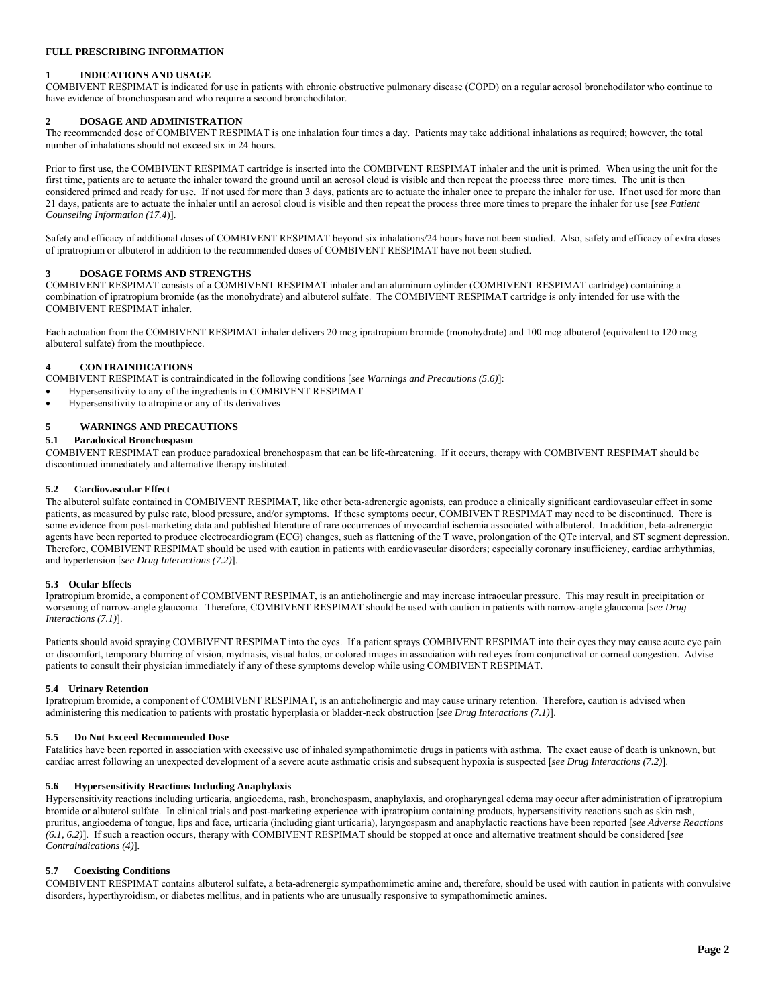## **FULL PRESCRIBING INFORMATION**

#### **1 INDICATIONS AND USAGE**

COMBIVENT RESPIMAT is indicated for use in patients with chronic obstructive pulmonary disease (COPD) on a regular aerosol bronchodilator who continue to have evidence of bronchospasm and who require a second bronchodilator.

### **2 DOSAGE AND ADMINISTRATION**

The recommended dose of COMBIVENT RESPIMAT is one inhalation four times a day. Patients may take additional inhalations as required; however, the total number of inhalations should not exceed six in 24 hours.

Prior to first use, the COMBIVENT RESPIMAT cartridge is inserted into the COMBIVENT RESPIMAT inhaler and the unit is primed. When using the unit for the first time, patients are to actuate the inhaler toward the ground until an aerosol cloud is visible and then repeat the process three more times. The unit is then considered primed and ready for use. If not used for more than 3 days, patients are to actuate the inhaler once to prepare the inhaler for use. If not used for more than 21 days, patients are to actuate the inhaler until an aerosol cloud is visible and then repeat the process three more times to prepare the inhaler for use [*see Patient Counseling Information (17.4*)].

Safety and efficacy of additional doses of COMBIVENT RESPIMAT beyond six inhalations/24 hours have not been studied. Also, safety and efficacy of extra doses of ipratropium or albuterol in addition to the recommended doses of COMBIVENT RESPIMAT have not been studied.

#### **3 DOSAGE FORMS AND STRENGTHS**

COMBIVENT RESPIMAT consists of a COMBIVENT RESPIMAT inhaler and an aluminum cylinder (COMBIVENT RESPIMAT cartridge) containing a combination of ipratropium bromide (as the monohydrate) and albuterol sulfate. The COMBIVENT RESPIMAT cartridge is only intended for use with the COMBIVENT RESPIMAT inhaler.

Each actuation from the COMBIVENT RESPIMAT inhaler delivers 20 mcg ipratropium bromide (monohydrate) and 100 mcg albuterol (equivalent to 120 mcg albuterol sulfate) from the mouthpiece.

### **4 CONTRAINDICATIONS**

COMBIVENT RESPIMAT is contraindicated in the following conditions [*see Warnings and Precautions (5.6)*]:

- Hypersensitivity to any of the ingredients in COMBIVENT RESPIMAT
- Hypersensitivity to atropine or any of its derivatives

## **5 WARNINGS AND PRECAUTIONS**

## **5.1 Paradoxical Bronchospasm**

COMBIVENT RESPIMAT can produce paradoxical bronchospasm that can be life-threatening. If it occurs, therapy with COMBIVENT RESPIMAT should be discontinued immediately and alternative therapy instituted.

#### **5.2 Cardiovascular Effect**

The albuterol sulfate contained in COMBIVENT RESPIMAT, like other beta-adrenergic agonists, can produce a clinically significant cardiovascular effect in some patients, as measured by pulse rate, blood pressure, and/or symptoms. If these symptoms occur, COMBIVENT RESPIMAT may need to be discontinued. There is some evidence from post-marketing data and published literature of rare occurrences of myocardial ischemia associated with albuterol. In addition, beta-adrenergic agents have been reported to produce electrocardiogram (ECG) changes, such as flattening of the T wave, prolongation of the QTc interval, and ST segment depression. Therefore, COMBIVENT RESPIMAT should be used with caution in patients with cardiovascular disorders; especially coronary insufficiency, cardiac arrhythmias, and hypertension [*see Drug Interactions (7.2)*].

#### **5.3 Ocular Effects**

Ipratropium bromide, a component of COMBIVENT RESPIMAT, is an anticholinergic and may increase intraocular pressure. This may result in precipitation or worsening of narrow-angle glaucoma. Therefore, COMBIVENT RESPIMAT should be used with caution in patients with narrow-angle glaucoma [*see Drug Interactions (7.1)*].

Patients should avoid spraying COMBIVENT RESPIMAT into the eyes. If a patient sprays COMBIVENT RESPIMAT into their eyes they may cause acute eye pain or discomfort, temporary blurring of vision, mydriasis, visual halos, or colored images in association with red eyes from conjunctival or corneal congestion. Advise patients to consult their physician immediately if any of these symptoms develop while using COMBIVENT RESPIMAT.

#### **5.4 Urinary Retention**

Ipratropium bromide, a component of COMBIVENT RESPIMAT, is an anticholinergic and may cause urinary retention. Therefore, caution is advised when administering this medication to patients with prostatic hyperplasia or bladder-neck obstruction [*see Drug Interactions (7.1)*].

## **5.5 Do Not Exceed Recommended Dose**

Fatalities have been reported in association with excessive use of inhaled sympathomimetic drugs in patients with asthma. The exact cause of death is unknown, but cardiac arrest following an unexpected development of a severe acute asthmatic crisis and subsequent hypoxia is suspected [*see Drug Interactions (7.2)*].

#### **5.6 Hypersensitivity Reactions Including Anaphylaxis**

Hypersensitivity reactions including urticaria, angioedema, rash, bronchospasm, anaphylaxis, and oropharyngeal edema may occur after administration of ipratropium bromide or albuterol sulfate. In clinical trials and post-marketing experience with ipratropium containing products, hypersensitivity reactions such as skin rash, pruritus, angioedema of tongue, lips and face, urticaria (including giant urticaria), laryngospasm and anaphylactic reactions have been reported [*see Adverse Reactions (6.1, 6.2)*]. If such a reaction occurs, therapy with COMBIVENT RESPIMAT should be stopped at once and alternative treatment should be considered [*see Contraindications (4)*]*.*

#### **5.7 Coexisting Conditions**

COMBIVENT RESPIMAT contains albuterol sulfate, a beta-adrenergic sympathomimetic amine and, therefore, should be used with caution in patients with convulsive disorders, hyperthyroidism, or diabetes mellitus, and in patients who are unusually responsive to sympathomimetic amines.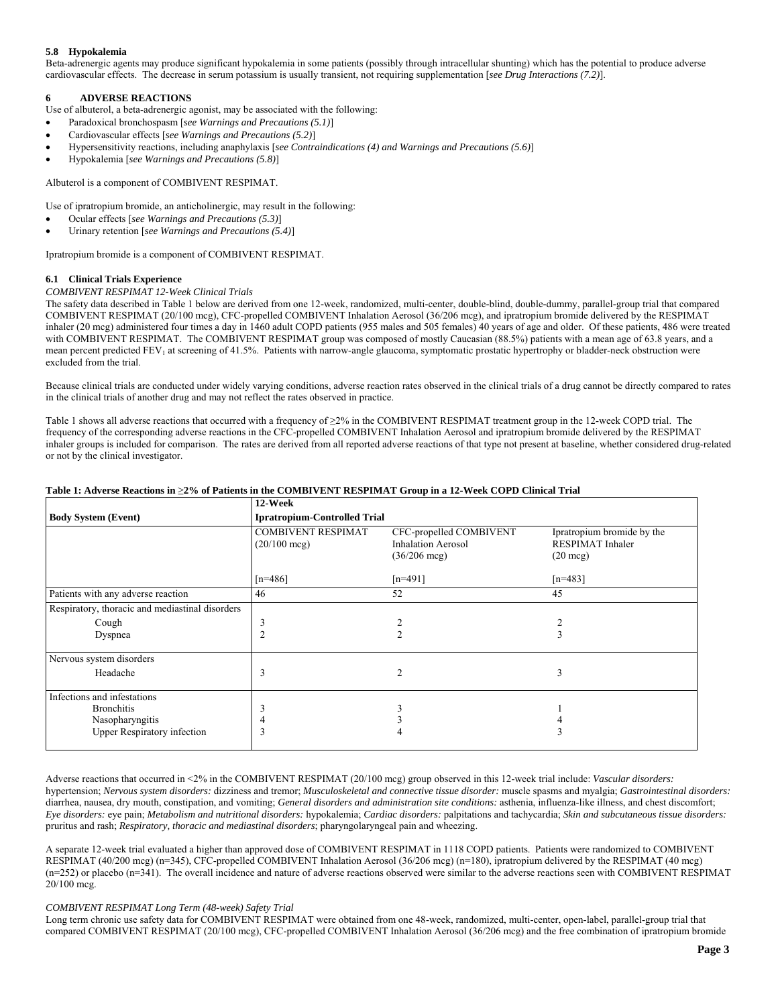## **5.8 Hypokalemia**

Beta-adrenergic agents may produce significant hypokalemia in some patients (possibly through intracellular shunting) which has the potential to produce adverse cardiovascular effects. The decrease in serum potassium is usually transient, not requiring supplementation [*see Drug Interactions (7.2)*].

## **6 ADVERSE REACTIONS**

Use of albuterol, a beta-adrenergic agonist, may be associated with the following:

- Paradoxical bronchospasm [*see Warnings and Precautions (5.1)*]
- Cardiovascular effects [*see Warnings and Precautions (5.2)*]
- Hypersensitivity reactions, including anaphylaxis [*see Contraindications (4) and Warnings and Precautions (5.6)*]
- Hypokalemia [*see Warnings and Precautions (5.8)*]

Albuterol is a component of COMBIVENT RESPIMAT.

Use of ipratropium bromide, an anticholinergic, may result in the following:

- Ocular effects [*see Warnings and Precautions (5.3)*]
- Urinary retention [*see Warnings and Precautions (5.4)*]

Ipratropium bromide is a component of COMBIVENT RESPIMAT.

## **6.1 Clinical Trials Experience**

#### *COMBIVENT RESPIMAT 12-Week Clinical Trials*

The safety data described in Table 1 below are derived from one 12-week, randomized, multi-center, double-blind, double-dummy, parallel-group trial that compared COMBIVENT RESPIMAT (20/100 mcg), CFC-propelled COMBIVENT Inhalation Aerosol (36/206 mcg), and ipratropium bromide delivered by the RESPIMAT inhaler (20 mcg) administered four times a day in 1460 adult COPD patients (955 males and 505 females) 40 years of age and older. Of these patients, 486 were treated with COMBIVENT RESPIMAT. The COMBIVENT RESPIMAT group was composed of mostly Caucasian (88.5%) patients with a mean age of 63.8 years, and a mean percent predicted FEV<sub>1</sub> at screening of 41.5%. Patients with narrow-angle glaucoma, symptomatic prostatic hypertrophy or bladder-neck obstruction were excluded from the trial.

Because clinical trials are conducted under widely varying conditions, adverse reaction rates observed in the clinical trials of a drug cannot be directly compared to rates in the clinical trials of another drug and may not reflect the rates observed in practice.

Table 1 shows all adverse reactions that occurred with a frequency of ≥2% in the COMBIVENT RESPIMAT treatment group in the 12-week COPD trial. The frequency of the corresponding adverse reactions in the CFC-propelled COMBIVENT Inhalation Aerosol and ipratropium bromide delivered by the RESPIMAT inhaler groups is included for comparison. The rates are derived from all reported adverse reactions of that type not present at baseline, whether considered drug-related or not by the clinical investigator.

#### **Table 1: Adverse Reactions in** ≥**2% of Patients in the COMBIVENT RESPIMAT Group in a 12-Week COPD Clinical Trial**

|                                                 | 12-Week                                             |                                                                                |                                                                      |
|-------------------------------------------------|-----------------------------------------------------|--------------------------------------------------------------------------------|----------------------------------------------------------------------|
| <b>Body System (Event)</b>                      | <b>Ipratropium-Controlled Trial</b>                 |                                                                                |                                                                      |
|                                                 | <b>COMBIVENT RESPIMAT</b><br>$(20/100 \text{ mcg})$ | CFC-propelled COMBIVENT<br><b>Inhalation Aerosol</b><br>$(36/206 \text{ mcg})$ | Ipratropium bromide by the<br>RESPIMAT Inhaler<br>$(20 \text{ mcg})$ |
|                                                 | $[n=486]$                                           | $[n=491]$                                                                      | $[n=483]$                                                            |
| Patients with any adverse reaction              | 46                                                  | 52                                                                             | 45                                                                   |
| Respiratory, thoracic and mediastinal disorders |                                                     |                                                                                |                                                                      |
| Cough                                           | 3                                                   |                                                                                |                                                                      |
| Dyspnea                                         |                                                     | $\overline{2}$                                                                 |                                                                      |
| Nervous system disorders                        |                                                     |                                                                                |                                                                      |
| Headache                                        | 3                                                   | $\overline{2}$                                                                 | 3                                                                    |
| Infections and infestations                     |                                                     |                                                                                |                                                                      |
| <b>Bronchitis</b>                               |                                                     |                                                                                |                                                                      |
| Nasopharyngitis                                 |                                                     |                                                                                |                                                                      |
| <b>Upper Respiratory infection</b>              | 3                                                   |                                                                                |                                                                      |

Adverse reactions that occurred in <2% in the COMBIVENT RESPIMAT (20/100 mcg) group observed in this 12-week trial include: *Vascular disorders:* hypertension; *Nervous system disorders:* dizziness and tremor; *Musculoskeletal and connective tissue disorder:* muscle spasms and myalgia; *Gastrointestinal disorders:* diarrhea, nausea, dry mouth, constipation, and vomiting; *General disorders and administration site conditions:* asthenia, influenza-like illness, and chest discomfort; *Eye disorders:* eye pain; *Metabolism and nutritional disorders:* hypokalemia; *Cardiac disorders:* palpitations and tachycardia; *Skin and subcutaneous tissue disorders:* pruritus and rash; *Respiratory, thoracic and mediastinal disorders*; pharyngolaryngeal pain and wheezing.

A separate 12-week trial evaluated a higher than approved dose of COMBIVENT RESPIMAT in 1118 COPD patients. Patients were randomized to COMBIVENT RESPIMAT (40/200 mcg) (n=345), CFC-propelled COMBIVENT Inhalation Aerosol (36/206 mcg) (n=180), ipratropium delivered by the RESPIMAT (40 mcg) (n=252) or placebo (n=341). The overall incidence and nature of adverse reactions observed were similar to the adverse reactions seen with COMBIVENT RESPIMAT 20/100 mcg.

#### *COMBIVENT RESPIMAT Long Term (48-week) Safety Trial*

Long term chronic use safety data for COMBIVENT RESPIMAT were obtained from one 48-week, randomized, multi-center, open-label, parallel-group trial that compared COMBIVENT RESPIMAT (20/100 mcg), CFC-propelled COMBIVENT Inhalation Aerosol (36/206 mcg) and the free combination of ipratropium bromide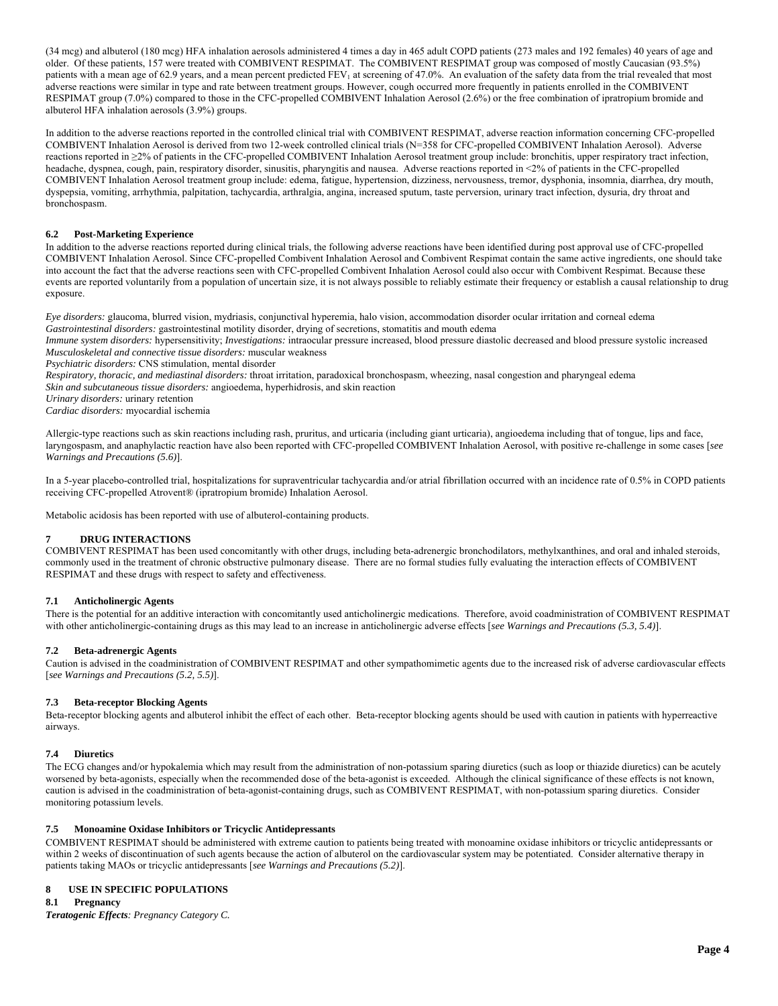(34 mcg) and albuterol (180 mcg) HFA inhalation aerosols administered 4 times a day in 465 adult COPD patients (273 males and 192 females) 40 years of age and older. Of these patients, 157 were treated with COMBIVENT RESPIMAT. The COMBIVENT RESPIMAT group was composed of mostly Caucasian (93.5%) patients with a mean age of 62.9 years, and a mean percent predicted FEV<sub>1</sub> at screening of 47.0%. An evaluation of the safety data from the trial revealed that most adverse reactions were similar in type and rate between treatment groups. However, cough occurred more frequently in patients enrolled in the COMBIVENT RESPIMAT group (7.0%) compared to those in the CFC-propelled COMBIVENT Inhalation Aerosol (2.6%) or the free combination of ipratropium bromide and albuterol HFA inhalation aerosols (3.9%) groups.

In addition to the adverse reactions reported in the controlled clinical trial with COMBIVENT RESPIMAT, adverse reaction information concerning CFC-propelled COMBIVENT Inhalation Aerosol is derived from two 12-week controlled clinical trials (N=358 for CFC-propelled COMBIVENT Inhalation Aerosol). Adverse reactions reported in ≥2% of patients in the CFC-propelled COMBIVENT Inhalation Aerosol treatment group include: bronchitis, upper respiratory tract infection, headache, dyspnea, cough, pain, respiratory disorder, sinusitis, pharyngitis and nausea. Adverse reactions reported in <2% of patients in the CFC-propelled COMBIVENT Inhalation Aerosol treatment group include: edema, fatigue, hypertension, dizziness, nervousness, tremor, dysphonia, insomnia, diarrhea, dry mouth, dyspepsia, vomiting, arrhythmia, palpitation, tachycardia, arthralgia, angina, increased sputum, taste perversion, urinary tract infection, dysuria, dry throat and bronchospasm.

## **6.2 Post-Marketing Experience**

In addition to the adverse reactions reported during clinical trials, the following adverse reactions have been identified during post approval use of CFC-propelled COMBIVENT Inhalation Aerosol. Since CFC-propelled Combivent Inhalation Aerosol and Combivent Respimat contain the same active ingredients, one should take into account the fact that the adverse reactions seen with CFC-propelled Combivent Inhalation Aerosol could also occur with Combivent Respimat. Because these events are reported voluntarily from a population of uncertain size, it is not always possible to reliably estimate their frequency or establish a causal relationship to drug exposure.

*Eye disorders:* glaucoma, blurred vision, mydriasis, conjunctival hyperemia, halo vision, accommodation disorder ocular irritation and corneal edema *Gastrointestinal disorders:* gastrointestinal motility disorder, drying of secretions, stomatitis and mouth edema

*Immune system disorders:* hypersensitivity; *Investigations:* intraocular pressure increased, blood pressure diastolic decreased and blood pressure systolic increased *Musculoskeletal and connective tissue disorders:* muscular weakness

*Psychiatric disorders:* CNS stimulation, mental disorder

*Respiratory, thoracic, and mediastinal disorders:* throat irritation, paradoxical bronchospasm, wheezing, nasal congestion and pharyngeal edema

*Skin and subcutaneous tissue disorders:* angioedema, hyperhidrosis, and skin reaction

*Urinary disorders:* urinary retention

*Cardiac disorders:* myocardial ischemia

Allergic-type reactions such as skin reactions including rash, pruritus, and urticaria (including giant urticaria), angioedema including that of tongue, lips and face, laryngospasm, and anaphylactic reaction have also been reported with CFC-propelled COMBIVENT Inhalation Aerosol, with positive re-challenge in some cases [*see Warnings and Precautions (5.6)*].

In a 5-year placebo-controlled trial, hospitalizations for supraventricular tachycardia and/or atrial fibrillation occurred with an incidence rate of 0.5% in COPD patients receiving CFC-propelled Atrovent® (ipratropium bromide) Inhalation Aerosol.

Metabolic acidosis has been reported with use of albuterol-containing products.

#### **7 DRUG INTERACTIONS**

COMBIVENT RESPIMAT has been used concomitantly with other drugs, including beta-adrenergic bronchodilators, methylxanthines, and oral and inhaled steroids, commonly used in the treatment of chronic obstructive pulmonary disease. There are no formal studies fully evaluating the interaction effects of COMBIVENT RESPIMAT and these drugs with respect to safety and effectiveness.

#### **7.1 Anticholinergic Agents**

There is the potential for an additive interaction with concomitantly used anticholinergic medications. Therefore, avoid coadministration of COMBIVENT RESPIMAT with other anticholinergic-containing drugs as this may lead to an increase in anticholinergic adverse effects [*see Warnings and Precautions (5.3, 5.4)*].

#### **7.2 Beta-adrenergic Agents**

Caution is advised in the coadministration of COMBIVENT RESPIMAT and other sympathomimetic agents due to the increased risk of adverse cardiovascular effects [*see Warnings and Precautions (5.2, 5.5)*].

#### **7.3 Beta-receptor Blocking Agents**

Beta-receptor blocking agents and albuterol inhibit the effect of each other. Beta-receptor blocking agents should be used with caution in patients with hyperreactive airways.

### **7.4 Diuretics**

The ECG changes and/or hypokalemia which may result from the administration of non-potassium sparing diuretics (such as loop or thiazide diuretics) can be acutely worsened by beta-agonists, especially when the recommended dose of the beta-agonist is exceeded. Although the clinical significance of these effects is not known, caution is advised in the coadministration of beta-agonist-containing drugs, such as COMBIVENT RESPIMAT, with non-potassium sparing diuretics. Consider monitoring potassium levels.

#### **7.5 Monoamine Oxidase Inhibitors or Tricyclic Antidepressants**

COMBIVENT RESPIMAT should be administered with extreme caution to patients being treated with monoamine oxidase inhibitors or tricyclic antidepressants or within 2 weeks of discontinuation of such agents because the action of albuterol on the cardiovascular system may be potentiated. Consider alternative therapy in patients taking MAOs or tricyclic antidepressants [*see Warnings and Precautions (5.2)*].

### **8 USE IN SPECIFIC POPULATIONS**

**8.1 Pregnancy** 

*Teratogenic Effects: Pregnancy Category C.*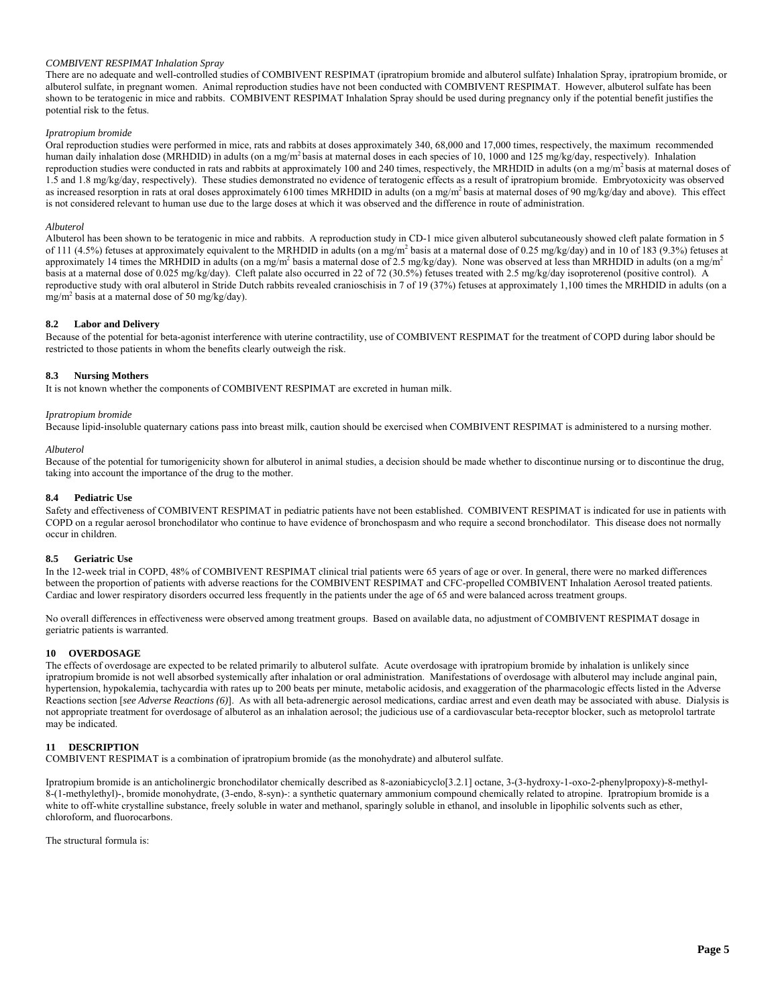### *COMBIVENT RESPIMAT Inhalation Spray*

There are no adequate and well-controlled studies of COMBIVENT RESPIMAT (ipratropium bromide and albuterol sulfate) Inhalation Spray, ipratropium bromide, or albuterol sulfate, in pregnant women. Animal reproduction studies have not been conducted with COMBIVENT RESPIMAT. However, albuterol sulfate has been shown to be teratogenic in mice and rabbits. COMBIVENT RESPIMAT Inhalation Spray should be used during pregnancy only if the potential benefit justifies the potential risk to the fetus.

### *Ipratropium bromide*

Oral reproduction studies were performed in mice, rats and rabbits at doses approximately 340, 68,000 and 17,000 times, respectively, the maximum recommended human daily inhalation dose (MRHDID) in adults (on a mg/m<sup>2</sup> basis at maternal doses in each species of 10, 1000 and 125 mg/kg/day, respectively). Inhalation reproduction studies were conducted in rats and rabbits at approximately 100 and 240 times, respectively, the MRHDID in adults (on a mg/m<sup>2</sup> basis at maternal doses of 1.5 and 1.8 mg/kg/day, respectively). These studies demonstrated no evidence of teratogenic effects as a result of ipratropium bromide. Embryotoxicity was observed as increased resorption in rats at oral doses approximately 6100 times MRHDID in adults (on a mg/m<sup>2</sup> basis at maternal doses of 90 mg/kg/day and above). This effect is not considered relevant to human use due to the large doses at which it was observed and the difference in route of administration.

#### *Albuterol*

Albuterol has been shown to be teratogenic in mice and rabbits. A reproduction study in CD-1 mice given albuterol subcutaneously showed cleft palate formation in 5 of 111 (4.5%) fetuses at approximately equivalent to the MRHDID in adults (on a mg/m<sup>2</sup> basis at a maternal dose of 0.25 mg/kg/day) and in 10 of 183 (9.3%) fetuses at approximately 14 times the MRHDID in adults (on a mg/m<sup>2</sup> basis a maternal dose of 2.5 mg/kg/day). None was observed at less than MRHDID in adults (on a mg/m<sup>2</sup> basis at a maternal dose of 0.025 mg/kg/day). Cleft palate also occurred in 22 of 72 (30.5%) fetuses treated with 2.5 mg/kg/day isoproterenol (positive control). A reproductive study with oral albuterol in Stride Dutch rabbits revealed cranioschisis in 7 of 19 (37%) fetuses at approximately 1,100 times the MRHDID in adults (on a  $mg/m^2$  basis at a maternal dose of 50 mg/kg/day).

#### **8.2 Labor and Delivery**

Because of the potential for beta-agonist interference with uterine contractility, use of COMBIVENT RESPIMAT for the treatment of COPD during labor should be restricted to those patients in whom the benefits clearly outweigh the risk.

#### **8.3 Nursing Mothers**

It is not known whether the components of COMBIVENT RESPIMAT are excreted in human milk.

#### *Ipratropium bromide*

Because lipid-insoluble quaternary cations pass into breast milk, caution should be exercised when COMBIVENT RESPIMAT is administered to a nursing mother.

#### *Albuterol*

Because of the potential for tumorigenicity shown for albuterol in animal studies, a decision should be made whether to discontinue nursing or to discontinue the drug, taking into account the importance of the drug to the mother.

#### **8.4 Pediatric Use**

Safety and effectiveness of COMBIVENT RESPIMAT in pediatric patients have not been established. COMBIVENT RESPIMAT is indicated for use in patients with COPD on a regular aerosol bronchodilator who continue to have evidence of bronchospasm and who require a second bronchodilator. This disease does not normally occur in children.

#### **8.5 Geriatric Use**

In the 12-week trial in COPD, 48% of COMBIVENT RESPIMAT clinical trial patients were 65 years of age or over. In general, there were no marked differences between the proportion of patients with adverse reactions for the COMBIVENT RESPIMAT and CFC-propelled COMBIVENT Inhalation Aerosol treated patients. Cardiac and lower respiratory disorders occurred less frequently in the patients under the age of 65 and were balanced across treatment groups.

No overall differences in effectiveness were observed among treatment groups. Based on available data, no adjustment of COMBIVENT RESPIMAT dosage in geriatric patients is warranted.

## **10 OVERDOSAGE**

The effects of overdosage are expected to be related primarily to albuterol sulfate. Acute overdosage with ipratropium bromide by inhalation is unlikely since ipratropium bromide is not well absorbed systemically after inhalation or oral administration. Manifestations of overdosage with albuterol may include anginal pain, hypertension, hypokalemia, tachycardia with rates up to 200 beats per minute, metabolic acidosis, and exaggeration of the pharmacologic effects listed in the Adverse Reactions section [*see Adverse Reactions (6)*]. As with all beta-adrenergic aerosol medications, cardiac arrest and even death may be associated with abuse. Dialysis is not appropriate treatment for overdosage of albuterol as an inhalation aerosol; the judicious use of a cardiovascular beta-receptor blocker, such as metoprolol tartrate may be indicated.

## **11 DESCRIPTION**

COMBIVENT RESPIMAT is a combination of ipratropium bromide (as the monohydrate) and albuterol sulfate.

Ipratropium bromide is an anticholinergic bronchodilator chemically described as 8-azoniabicyclo[3.2.1] octane, 3-(3-hydroxy-1-oxo-2-phenylpropoxy)-8-methyl-8-(1-methylethyl)-, bromide monohydrate, (3-endo, 8-syn)-: a synthetic quaternary ammonium compound chemically related to atropine. Ipratropium bromide is a white to off-white crystalline substance, freely soluble in water and methanol, sparingly soluble in ethanol, and insoluble in lipophilic solvents such as ether, chloroform, and fluorocarbons.

The structural formula is: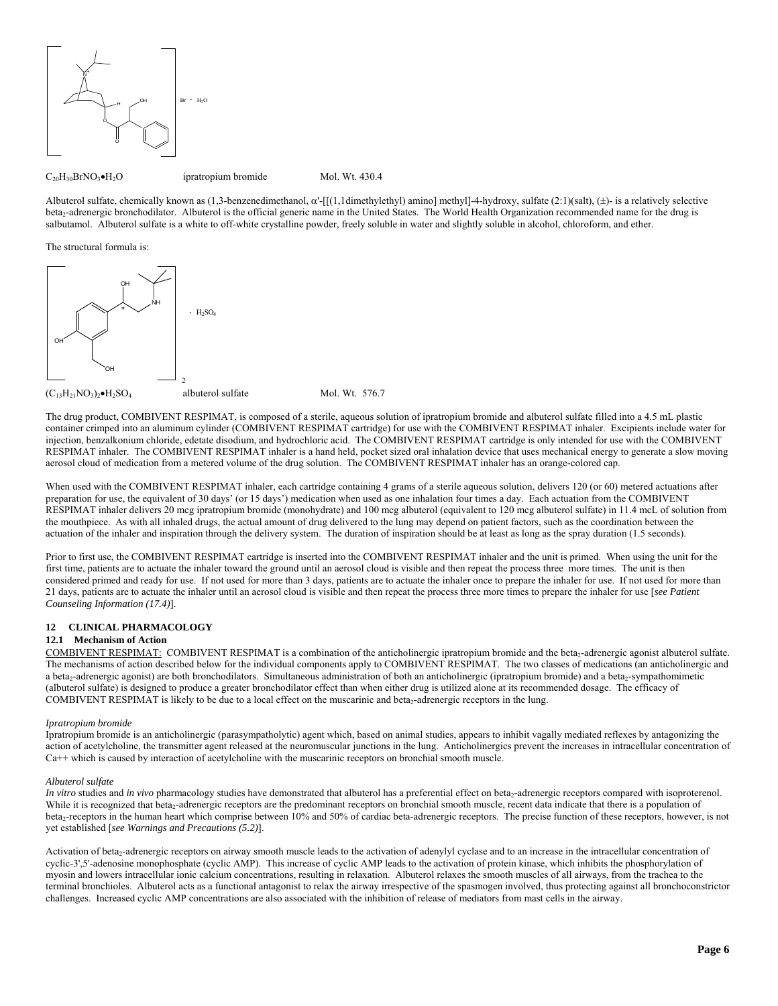

Albuterol sulfate, chemically known as  $(1,3$ -benzenedimethanol,  $\alpha'$ -[[ $(1,1$ dimethylethyl) amino] methyl]-4-hydroxy, sulfate  $(2:1)(salt)$ ,  $(\pm)$ - is a relatively selective beta<sub>2</sub>-adrenergic bronchodilator. Albuterol is the official generic name in the United States. The World Health Organization recommended name for the drug is salbutamol. Albuterol sulfate is a white to off-white crystalline powder, freely soluble in water and slightly soluble in alcohol, chloroform, and ether.

The structural formula is:



The drug product, COMBIVENT RESPIMAT, is composed of a sterile, aqueous solution of ipratropium bromide and albuterol sulfate filled into a 4.5 mL plastic container crimped into an aluminum cylinder (COMBIVENT RESPIMAT cartridge) for use with the COMBIVENT RESPIMAT inhaler. Excipients include water for injection, benzalkonium chloride, edetate disodium, and hydrochloric acid. The COMBIVENT RESPIMAT cartridge is only intended for use with the COMBIVENT RESPIMAT inhaler. The COMBIVENT RESPIMAT inhaler is a hand held, pocket sized oral inhalation device that uses mechanical energy to generate a slow moving aerosol cloud of medication from a metered volume of the drug solution. The COMBIVENT RESPIMAT inhaler has an orange-colored cap.

When used with the COMBIVENT RESPIMAT inhaler, each cartridge containing 4 grams of a sterile aqueous solution, delivers 120 (or 60) metered actuations after preparation for use, the equivalent of 30 days' (or 15 days') medication when used as one inhalation four times a day. Each actuation from the COMBIVENT RESPIMAT inhaler delivers 20 mcg ipratropium bromide (monohydrate) and 100 mcg albuterol (equivalent to 120 mcg albuterol sulfate) in 11.4 mcL of solution from the mouthpiece. As with all inhaled drugs, the actual amount of drug delivered to the lung may depend on patient factors, such as the coordination between the actuation of the inhaler and inspiration through the delivery system. The duration of inspiration should be at least as long as the spray duration (1.5 seconds).

Prior to first use, the COMBIVENT RESPIMAT cartridge is inserted into the COMBIVENT RESPIMAT inhaler and the unit is primed. When using the unit for the first time, patients are to actuate the inhaler toward the ground until an aerosol cloud is visible and then repeat the process three more times. The unit is then considered primed and ready for use. If not used for more than 3 days, patients are to actuate the inhaler once to prepare the inhaler for use. If not used for more than 21 days, patients are to actuate the inhaler until an aerosol cloud is visible and then repeat the process three more times to prepare the inhaler for use [*see Patient Counseling Information (17.4)*].

## **12 CLINICAL PHARMACOLOGY**

## **12.1 Mechanism of Action**

COMBIVENT RESPIMAT: COMBIVENT RESPIMAT is a combination of the anticholinergic ipratropium bromide and the beta<sub>2</sub>-adrenergic agonist albuterol sulfate. The mechanisms of action described below for the individual components apply to COMBIVENT RESPIMAT. The two classes of medications (an anticholinergic and a beta<sub>2</sub>-adrenergic agonist) are both bronchodilators. Simultaneous administration of both an anticholinergic (ipratropium bromide) and a beta<sub>2</sub>-sympathomimetic (albuterol sulfate) is designed to produce a greater bronchodilator effect than when either drug is utilized alone at its recommended dosage. The efficacy of COMBIVENT RESPIMAT is likely to be due to a local effect on the muscarinic and beta<sub>2</sub>-adrenergic receptors in the lung.

#### *Ipratropium bromide*

Ipratropium bromide is an anticholinergic (parasympatholytic) agent which, based on animal studies, appears to inhibit vagally mediated reflexes by antagonizing the action of acetylcholine, the transmitter agent released at the neuromuscular junctions in the lung. Anticholinergics prevent the increases in intracellular concentration of Ca++ which is caused by interaction of acetylcholine with the muscarinic receptors on bronchial smooth muscle.

#### *Albuterol sulfate*

*In vitro* studies and *in vivo* pharmacology studies have demonstrated that albuterol has a preferential effect on beta<sub>2</sub>-adrenergic receptors compared with isoproterenol. While it is recognized that beta<sub>2</sub>-adrenergic receptors are the predominant receptors on bronchial smooth muscle, recent data indicate that there is a population of beta<sub>2</sub>-receptors in the human heart which comprise between 10% and 50% of cardiac beta-adrenergic receptors. The precise function of these receptors, however, is not yet established [*see Warnings and Precautions (5.2)*].

Activation of beta<sub>2</sub>-adrenergic receptors on airway smooth muscle leads to the activation of adenylyl cyclase and to an increase in the intracellular concentration of cyclic-3',5'-adenosine monophosphate (cyclic AMP). This increase of cyclic AMP leads to the activation of protein kinase, which inhibits the phosphorylation of myosin and lowers intracellular ionic calcium concentrations, resulting in relaxation. Albuterol relaxes the smooth muscles of all airways, from the trachea to the terminal bronchioles. Albuterol acts as a functional antagonist to relax the airway irrespective of the spasmogen involved, thus protecting against all bronchoconstrictor challenges. Increased cyclic AMP concentrations are also associated with the inhibition of release of mediators from mast cells in the airway.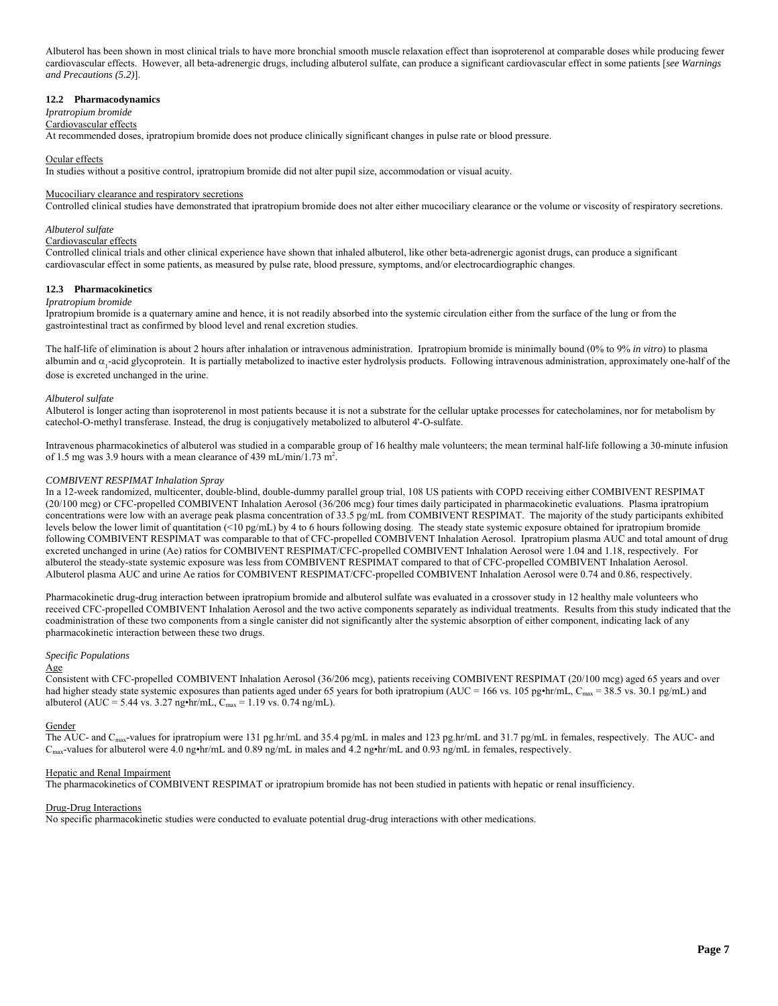Albuterol has been shown in most clinical trials to have more bronchial smooth muscle relaxation effect than isoproterenol at comparable doses while producing fewer cardiovascular effects. However, all beta-adrenergic drugs, including albuterol sulfate, can produce a significant cardiovascular effect in some patients [*see Warnings and Precautions (5.2)*].

#### **12.2 Pharmacodynamics**

## *Ipratropium bromide*

Cardiovascular effects

At recommended doses, ipratropium bromide does not produce clinically significant changes in pulse rate or blood pressure.

### Ocular effects

In studies without a positive control, ipratropium bromide did not alter pupil size, accommodation or visual acuity.

#### Mucociliary clearance and respiratory secretions

Controlled clinical studies have demonstrated that ipratropium bromide does not alter either mucociliary clearance or the volume or viscosity of respiratory secretions.

### *Albuterol sulfate*

## Cardiovascular effects

Controlled clinical trials and other clinical experience have shown that inhaled albuterol, like other beta-adrenergic agonist drugs, can produce a significant cardiovascular effect in some patients, as measured by pulse rate, blood pressure, symptoms, and/or electrocardiographic changes.

#### **12.3 Pharmacokinetics**

#### *Ipratropium bromide*

Ipratropium bromide is a quaternary amine and hence, it is not readily absorbed into the systemic circulation either from the surface of the lung or from the gastrointestinal tract as confirmed by blood level and renal excretion studies.

The half-life of elimination is about 2 hours after inhalation or intravenous administration. Ipratropium bromide is minimally bound (0% to 9% *in vitro*) to plasma albumin and  $\alpha_1$ -acid glycoprotein. It is partially metabolized to inactive ester hydrolysis products. Following intravenous administration, approximately one-half of the dose is excreted unchanged in the urine.

#### *Albuterol sulfate*

Albuterol is longer acting than isoproterenol in most patients because it is not a substrate for the cellular uptake processes for catecholamines, nor for metabolism by catechol-O-methyl transferase. Instead, the drug is conjugatively metabolized to albuterol 4'-O-sulfate.

Intravenous pharmacokinetics of albuterol was studied in a comparable group of 16 healthy male volunteers; the mean terminal half-life following a 30-minute infusion of 1.5 mg was 3.9 hours with a mean clearance of 439 mL/min/ $\overline{1.73 \text{ m}^2}$ .

## *COMBIVENT RESPIMAT Inhalation Spray*

In a 12-week randomized, multicenter, double-blind, double-dummy parallel group trial, 108 US patients with COPD receiving either COMBIVENT RESPIMAT (20/100 mcg) or CFC-propelled COMBIVENT Inhalation Aerosol (36/206 mcg) four times daily participated in pharmacokinetic evaluations. Plasma ipratropium concentrations were low with an average peak plasma concentration of 33.5 pg/mL from COMBIVENT RESPIMAT. The majority of the study participants exhibited levels below the lower limit of quantitation (<10 pg/mL) by 4 to 6 hours following dosing. The steady state systemic exposure obtained for ipratropium bromide following COMBIVENT RESPIMAT was comparable to that of CFC-propelled COMBIVENT Inhalation Aerosol. Ipratropium plasma AUC and total amount of drug excreted unchanged in urine (Ae) ratios for COMBIVENT RESPIMAT/CFC-propelled COMBIVENT Inhalation Aerosol were 1.04 and 1.18, respectively. For albuterol the steady-state systemic exposure was less from COMBIVENT RESPIMAT compared to that of CFC-propelled COMBIVENT Inhalation Aerosol. Albuterol plasma AUC and urine Ae ratios for COMBIVENT RESPIMAT/CFC-propelled COMBIVENT Inhalation Aerosol were 0.74 and 0.86, respectively.

Pharmacokinetic drug-drug interaction between ipratropium bromide and albuterol sulfate was evaluated in a crossover study in 12 healthy male volunteers who received CFC-propelled COMBIVENT Inhalation Aerosol and the two active components separately as individual treatments. Results from this study indicated that the coadministration of these two components from a single canister did not significantly alter the systemic absorption of either component, indicating lack of any pharmacokinetic interaction between these two drugs.

#### *Specific Populations*

### Age

Consistent with CFC-propelled COMBIVENT Inhalation Aerosol (36/206 mcg), patients receiving COMBIVENT RESPIMAT (20/100 mcg) aged 65 years and over had higher steady state systemic exposures than patients aged under 65 years for both ipratropium (AUC = 166 vs. 105 pg•hr/mL, C<sub>max</sub> = 38.5 vs. 30.1 pg/mL) and albuterol (AUC = 5.44 vs. 3.27 ng•hr/mL,  $C_{\text{max}} = 1.19$  vs. 0.74 ng/mL).

#### **Gender**

The AUC- and C<sub>max</sub>-values for ipratropium were 131 pg.hr/mL and 35.4 pg/mL in males and 123 pg.hr/mL and 31.7 pg/mL in females, respectively. The AUC- and Cmax-values for albuterol were 4.0 ng•hr/mL and 0.89 ng/mL in males and 4.2 ng•hr/mL and 0.93 ng/mL in females, respectively.

#### Hepatic and Renal Impairment

The pharmacokinetics of COMBIVENT RESPIMAT or ipratropium bromide has not been studied in patients with hepatic or renal insufficiency.

#### Drug-Drug Interactions

No specific pharmacokinetic studies were conducted to evaluate potential drug-drug interactions with other medications.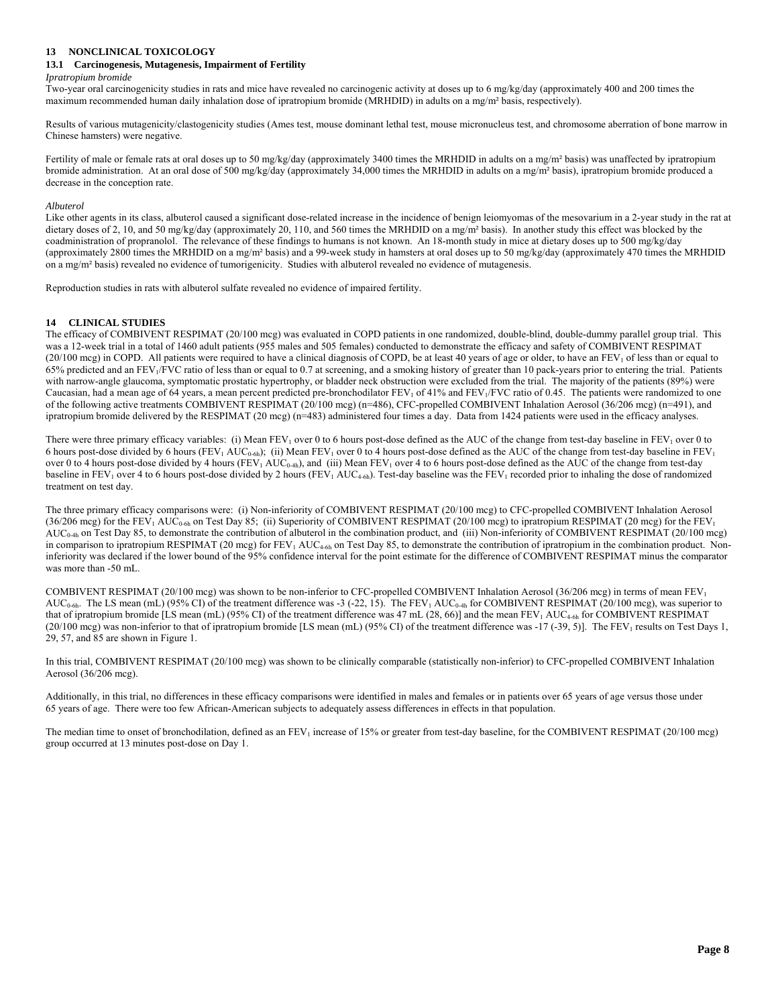## **13 NONCLINICAL TOXICOLOGY**

### **13.1 Carcinogenesis, Mutagenesis, Impairment of Fertility**

#### *Ipratropium bromide*

Two-year oral carcinogenicity studies in rats and mice have revealed no carcinogenic activity at doses up to 6 mg/kg/day (approximately 400 and 200 times the maximum recommended human daily inhalation dose of ipratropium bromide (MRHDID) in adults on a mg/m² basis, respectively).

Results of various mutagenicity/clastogenicity studies (Ames test, mouse dominant lethal test, mouse micronucleus test, and chromosome aberration of bone marrow in Chinese hamsters) were negative.

Fertility of male or female rats at oral doses up to 50 mg/kg/day (approximately 3400 times the MRHDID in adults on a mg/m<sup>2</sup> basis) was unaffected by ipratropium bromide administration. At an oral dose of 500 mg/kg/day (approximately 34,000 times the MRHDID in adults on a mg/m<sup>2</sup> basis), ipratropium bromide produced a decrease in the conception rate.

#### *Albuterol*

Like other agents in its class, albuterol caused a significant dose-related increase in the incidence of benign leiomyomas of the mesovarium in a 2-year study in the rat at dietary doses of 2, 10, and 50 mg/kg/day (approximately 20, 110, and 560 times the MRHDID on a mg/m<sup>2</sup> basis). In another study this effect was blocked by the coadministration of propranolol. The relevance of these findings to humans is not known. An 18-month study in mice at dietary doses up to 500 mg/kg/day (approximately 2800 times the MRHDID on a mg/m<sup>2</sup> basis) and a 99-week study in hamsters at oral doses up to 50 mg/kg/day (approximately 470 times the MRHDID on a mg/m² basis) revealed no evidence of tumorigenicity. Studies with albuterol revealed no evidence of mutagenesis.

Reproduction studies in rats with albuterol sulfate revealed no evidence of impaired fertility.

#### **14 CLINICAL STUDIES**

The efficacy of COMBIVENT RESPIMAT (20/100 mcg) was evaluated in COPD patients in one randomized, double-blind, double-dummy parallel group trial. This was a 12-week trial in a total of 1460 adult patients (955 males and 505 females) conducted to demonstrate the efficacy and safety of COMBIVENT RESPIMAT  $(20/100 \text{ mg})$  in COPD. All patients were required to have a clinical diagnosis of COPD, be at least 40 years of age or older, to have an FEV<sub>1</sub> of less than or equal to 65% predicted and an FEV1/FVC ratio of less than or equal to 0.7 at screening, and a smoking history of greater than 10 pack-years prior to entering the trial. Patients with narrow-angle glaucoma, symptomatic prostatic hypertrophy, or bladder neck obstruction were excluded from the trial. The majority of the patients (89%) were Caucasian, had a mean age of 64 years, a mean percent predicted pre-bronchodilator  $FEV_1$  of 41% and  $FEV_1/FVC$  ratio of 0.45. The patients were randomized to one of the following active treatments COMBIVENT RESPIMAT (20/100 mcg) (n=486), CFC-propelled COMBIVENT Inhalation Aerosol (36/206 mcg) (n=491), and ipratropium bromide delivered by the RESPIMAT (20 mcg) (n=483) administered four times a day. Data from 1424 patients were used in the efficacy analyses.

There were three primary efficacy variables: (i) Mean  $FEV_1$  over 0 to 6 hours post-dose defined as the AUC of the change from test-day baseline in  $FEV_1$  over 0 to 6 hours post-dose divided by 6 hours (FEV<sub>1</sub> AUC<sub>0-6h</sub>); (ii) Mean FEV<sub>1</sub> over 0 to 4 hours post-dose defined as the AUC of the change from test-day baseline in FEV<sub>1</sub> over 0 to 4 hours post-dose divided by 4 hours (FEV<sub>1</sub> AUC<sub>0-4h</sub>), and (iii) Mean FEV<sub>1</sub> over 4 to 6 hours post-dose defined as the AUC of the change from test-day baseline in FEV<sub>1</sub> over 4 to 6 hours post-dose divided by 2 hours (FEV<sub>1</sub> AUC<sub>4-6h</sub>). Test-day baseline was the FEV<sub>1</sub> recorded prior to inhaling the dose of randomized treatment on test day.

The three primary efficacy comparisons were: (i) Non-inferiority of COMBIVENT RESPIMAT (20/100 mcg) to CFC-propelled COMBIVENT Inhalation Aerosol (36/206 mcg) for the FEV<sub>1</sub> AUC<sub>0-6h</sub> on Test Day 85; (ii) Superiority of COMBIVENT RESPIMAT (20/100 mcg) to ipratropium RESPIMAT (20 mcg) for the FEV<sub>1</sub>  $AUC_{0.4h}$  on Test Day 85, to demonstrate the contribution of albuterol in the combination product, and (iii) Non-inferiority of COMBIVENT RESPIMAT (20/100 mcg) in comparison to ipratropium RESPIMAT (20 mcg) for FEV<sub>1</sub> AUC<sub>4-6h</sub> on Test Day 85, to demonstrate the contribution of ipratropium in the combination product. Noninferiority was declared if the lower bound of the 95% confidence interval for the point estimate for the difference of COMBIVENT RESPIMAT minus the comparator was more than -50 mL.

COMBIVENT RESPIMAT (20/100 mcg) was shown to be non-inferior to CFC-propelled COMBIVENT Inhalation Aerosol (36/206 mcg) in terms of mean FEV1  $AUC_{0.6h}$ . The LS mean (mL) (95% CI) of the treatment difference was -3 (-22, 15). The FEV<sub>1</sub> AUC<sub>0-4h</sub> for COMBIVENT RESPIMAT (20/100 mcg), was superior to that of ipratropium bromide [LS mean (mL) (95% CI) of the treatment difference was 47 mL (28, 66)] and the mean FEV<sub>1</sub> AUC<sub>4-6h</sub> for COMBIVENT RESPIMAT  $(20/100 \text{ mcg})$  was non-inferior to that of ipratropium bromide [LS mean (mL) (95% CI) of the treatment difference was -17 (-39, 5)]. The FEV<sub>1</sub> results on Test Days 1, 29, 57, and 85 are shown in Figure 1.

In this trial, COMBIVENT RESPIMAT (20/100 mcg) was shown to be clinically comparable (statistically non-inferior) to CFC-propelled COMBIVENT Inhalation Aerosol (36/206 mcg).

Additionally, in this trial, no differences in these efficacy comparisons were identified in males and females or in patients over 65 years of age versus those under 65 years of age. There were too few African-American subjects to adequately assess differences in effects in that population.

The median time to onset of bronchodilation, defined as an FEV<sub>1</sub> increase of 15% or greater from test-day baseline, for the COMBIVENT RESPIMAT (20/100 mcg) group occurred at 13 minutes post-dose on Day 1.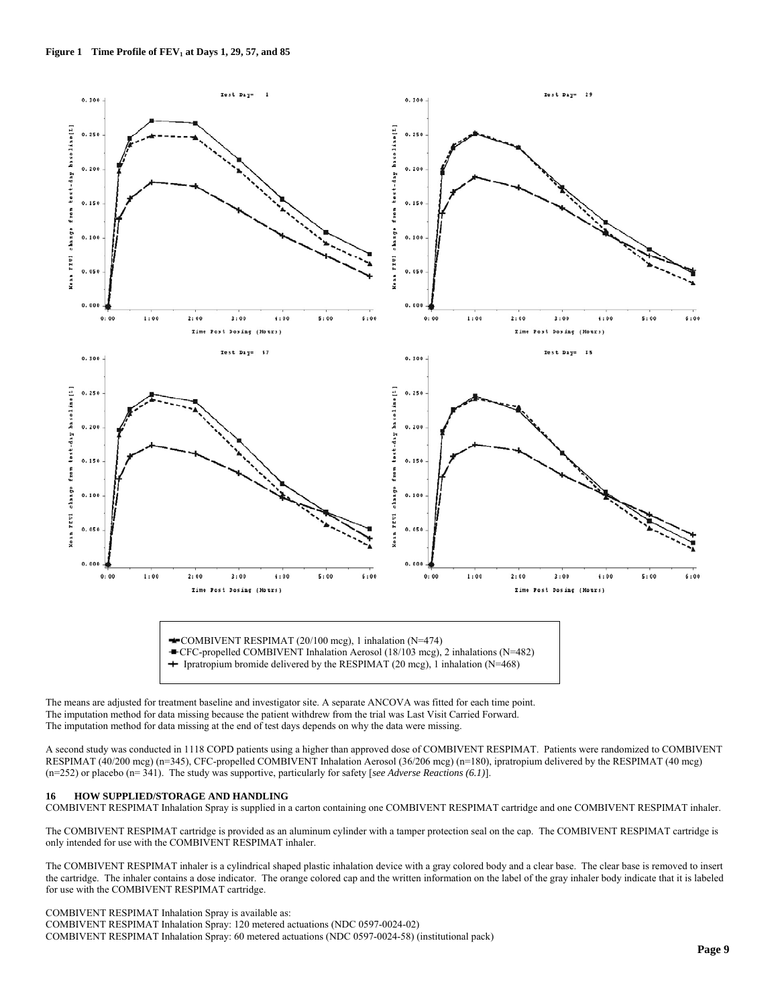

CFC-propelled COMBIVENT Inhalation Aerosol (18/103 mcg), 2 inhalations (N=482)

+ Ipratropium bromide delivered by the RESPIMAT (20 mcg), 1 inhalation (N=468)

The means are adjusted for treatment baseline and investigator site. A separate ANCOVA was fitted for each time point. The imputation method for data missing because the patient withdrew from the trial was Last Visit Carried Forward. The imputation method for data missing at the end of test days depends on why the data were missing.

A second study was conducted in 1118 COPD patients using a higher than approved dose of COMBIVENT RESPIMAT. Patients were randomized to COMBIVENT RESPIMAT (40/200 mcg) (n=345), CFC-propelled COMBIVENT Inhalation Aerosol (36/206 mcg) (n=180), ipratropium delivered by the RESPIMAT (40 mcg) (n=252) or placebo (n= 341). The study was supportive, particularly for safety [*see Adverse Reactions (6.1)*].

#### **16 HOW SUPPLIED/STORAGE AND HANDLING**

COMBIVENT RESPIMAT Inhalation Spray is supplied in a carton containing one COMBIVENT RESPIMAT cartridge and one COMBIVENT RESPIMAT inhaler.

The COMBIVENT RESPIMAT cartridge is provided as an aluminum cylinder with a tamper protection seal on the cap. The COMBIVENT RESPIMAT cartridge is only intended for use with the COMBIVENT RESPIMAT inhaler.

The COMBIVENT RESPIMAT inhaler is a cylindrical shaped plastic inhalation device with a gray colored body and a clear base. The clear base is removed to insert the cartridge. The inhaler contains a dose indicator. The orange colored cap and the written information on the label of the gray inhaler body indicate that it is labeled for use with the COMBIVENT RESPIMAT cartridge.

COMBIVENT RESPIMAT Inhalation Spray is available as:

COMBIVENT RESPIMAT Inhalation Spray: 120 metered actuations (NDC 0597-0024-02) COMBIVENT RESPIMAT Inhalation Spray: 60 metered actuations (NDC 0597-0024-58) (institutional pack)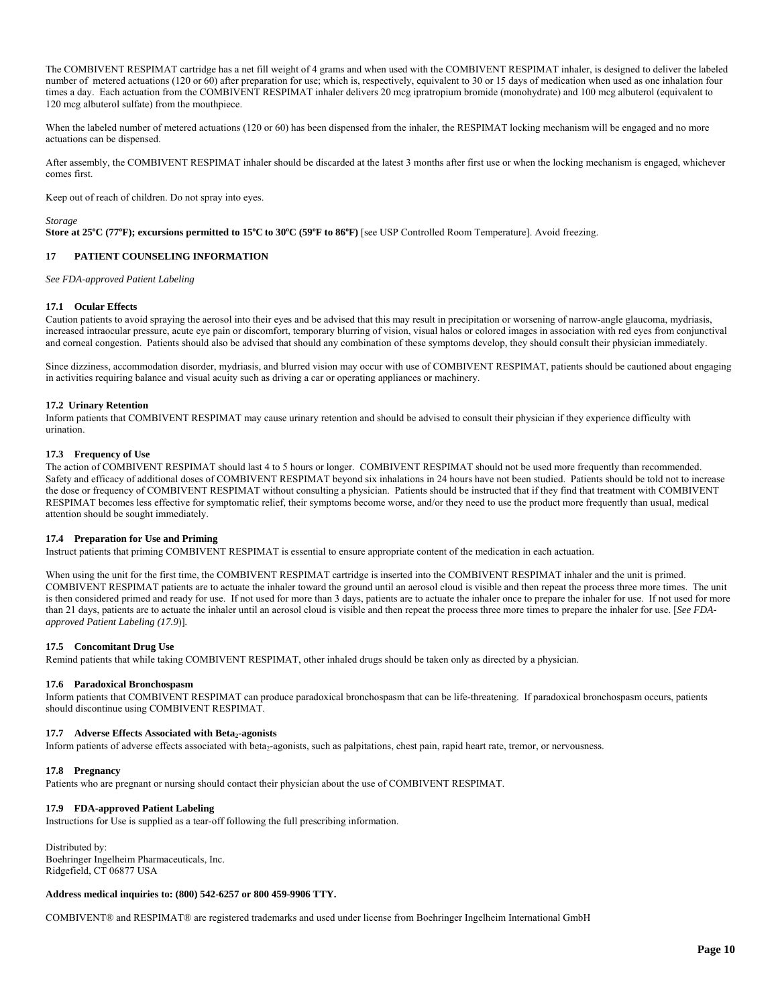The COMBIVENT RESPIMAT cartridge has a net fill weight of 4 grams and when used with the COMBIVENT RESPIMAT inhaler, is designed to deliver the labeled number of metered actuations (120 or 60) after preparation for use; which is, respectively, equivalent to 30 or 15 days of medication when used as one inhalation four times a day. Each actuation from the COMBIVENT RESPIMAT inhaler delivers 20 mcg ipratropium bromide (monohydrate) and 100 mcg albuterol (equivalent to 120 mcg albuterol sulfate) from the mouthpiece.

When the labeled number of metered actuations (120 or 60) has been dispensed from the inhaler, the RESPIMAT locking mechanism will be engaged and no more actuations can be dispensed.

After assembly, the COMBIVENT RESPIMAT inhaler should be discarded at the latest 3 months after first use or when the locking mechanism is engaged, whichever comes first.

Keep out of reach of children. Do not spray into eyes.

*Storage* 

Store at 25°C (77°F); excursions permitted to  $15^{\circ}$ C to  $30^{\circ}$ C (59°F to  $86^{\circ}$ F) [see USP Controlled Room Temperature]. Avoid freezing.

## **17 PATIENT COUNSELING INFORMATION**

*See FDA-approved Patient Labeling* 

#### **17.1 Ocular Effects**

Caution patients to avoid spraying the aerosol into their eyes and be advised that this may result in precipitation or worsening of narrow-angle glaucoma, mydriasis, increased intraocular pressure, acute eye pain or discomfort, temporary blurring of vision, visual halos or colored images in association with red eyes from conjunctival and corneal congestion. Patients should also be advised that should any combination of these symptoms develop, they should consult their physician immediately.

Since dizziness, accommodation disorder, mydriasis, and blurred vision may occur with use of COMBIVENT RESPIMAT, patients should be cautioned about engaging in activities requiring balance and visual acuity such as driving a car or operating appliances or machinery.

#### **17.2 Urinary Retention**

Inform patients that COMBIVENT RESPIMAT may cause urinary retention and should be advised to consult their physician if they experience difficulty with urination.

#### **17.3 Frequency of Use**

The action of COMBIVENT RESPIMAT should last 4 to 5 hours or longer. COMBIVENT RESPIMAT should not be used more frequently than recommended. Safety and efficacy of additional doses of COMBIVENT RESPIMAT beyond six inhalations in 24 hours have not been studied. Patients should be told not to increase the dose or frequency of COMBIVENT RESPIMAT without consulting a physician. Patients should be instructed that if they find that treatment with COMBIVENT RESPIMAT becomes less effective for symptomatic relief, their symptoms become worse, and/or they need to use the product more frequently than usual, medical attention should be sought immediately.

#### **17.4 Preparation for Use and Priming**

Instruct patients that priming COMBIVENT RESPIMAT is essential to ensure appropriate content of the medication in each actuation.

When using the unit for the first time, the COMBIVENT RESPIMAT cartridge is inserted into the COMBIVENT RESPIMAT inhaler and the unit is primed. COMBIVENT RESPIMAT patients are to actuate the inhaler toward the ground until an aerosol cloud is visible and then repeat the process three more times. The unit is then considered primed and ready for use. If not used for more than 3 days, patients are to actuate the inhaler once to prepare the inhaler for use. If not used for more than 21 days, patients are to actuate the inhaler until an aerosol cloud is visible and then repeat the process three more times to prepare the inhaler for use. [*See FDAapproved Patient Labeling (17.9*)]*.* 

#### **17.5 Concomitant Drug Use**

Remind patients that while taking COMBIVENT RESPIMAT, other inhaled drugs should be taken only as directed by a physician.

#### **17.6 Paradoxical Bronchospasm**

Inform patients that COMBIVENT RESPIMAT can produce paradoxical bronchospasm that can be life-threatening. If paradoxical bronchospasm occurs, patients should discontinue using COMBIVENT RESPIMAT.

#### 17.7 Adverse Effects Associated with Beta<sub>2</sub>-agonists

Inform patients of adverse effects associated with beta<sub>2</sub>-agonists, such as palpitations, chest pain, rapid heart rate, tremor, or nervousness.

#### **17.8 Pregnancy**

Patients who are pregnant or nursing should contact their physician about the use of COMBIVENT RESPIMAT.

## **17.9 FDA-approved Patient Labeling**

Instructions for Use is supplied as a tear-off following the full prescribing information.

Distributed by: Boehringer Ingelheim Pharmaceuticals, Inc. Ridgefield, CT 06877 USA

#### **Address medical inquiries to: (800) 542-6257 or 800 459-9906 TTY.**

COMBIVENT® and RESPIMAT® are registered trademarks and used under license from Boehringer Ingelheim International GmbH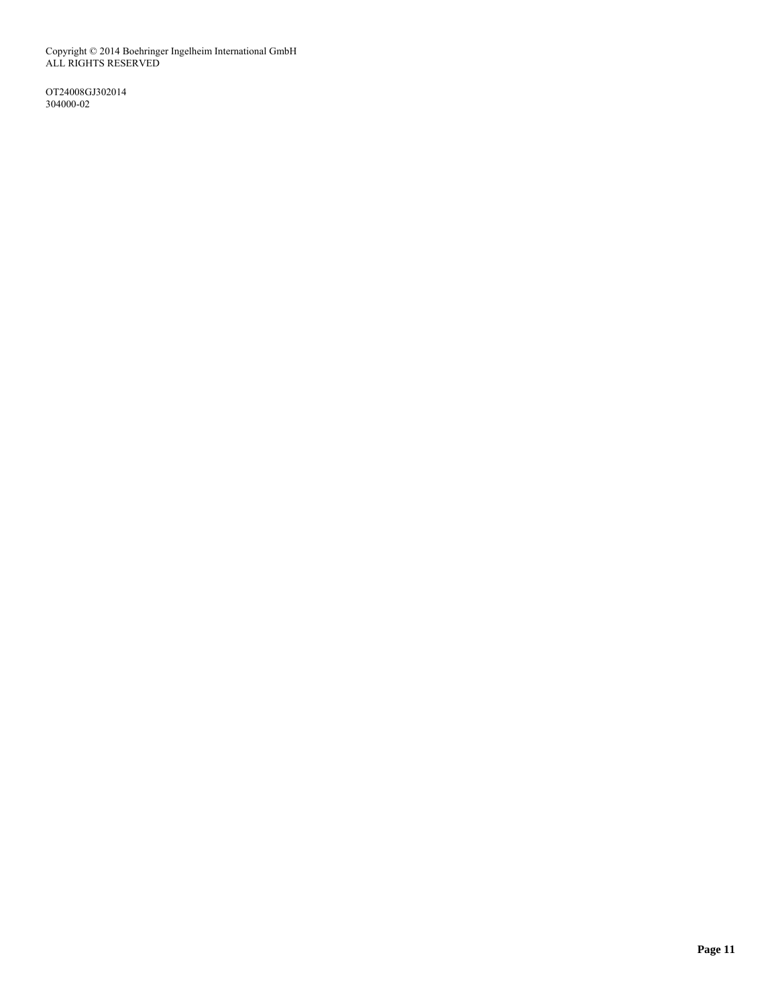Copyright © 2014 Boehringer Ingelheim International GmbH ALL RIGHTS RESERVED

OT24008GJ302014 304000-02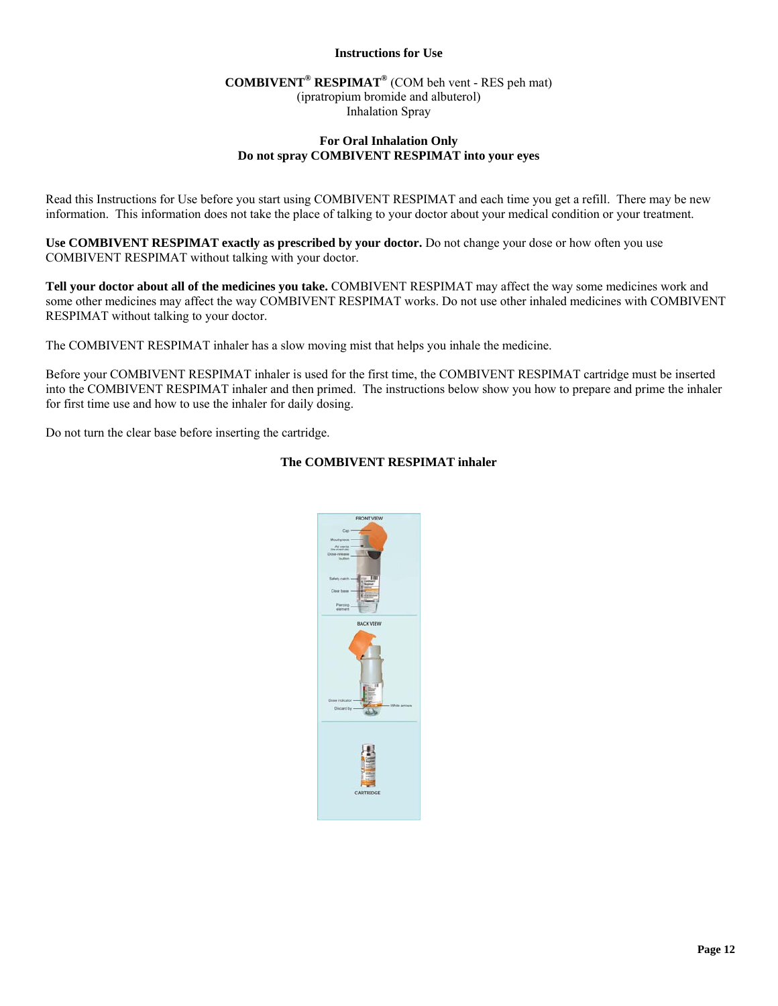## **Instructions for Use**

# **COMBIVENT® RESPIMAT®** (COM beh vent - RES peh mat)

(ipratropium bromide and albuterol) Inhalation Spray

## **For Oral Inhalation Only Do not spray COMBIVENT RESPIMAT into your eyes**

Read this Instructions for Use before you start using COMBIVENT RESPIMAT and each time you get a refill. There may be new information. This information does not take the place of talking to your doctor about your medical condition or your treatment.

**Use COMBIVENT RESPIMAT exactly as prescribed by your doctor.** Do not change your dose or how often you use COMBIVENT RESPIMAT without talking with your doctor.

**Tell your doctor about all of the medicines you take.** COMBIVENT RESPIMAT may affect the way some medicines work and some other medicines may affect the way COMBIVENT RESPIMAT works. Do not use other inhaled medicines with COMBIVENT RESPIMAT without talking to your doctor.

The COMBIVENT RESPIMAT inhaler has a slow moving mist that helps you inhale the medicine.

Before your COMBIVENT RESPIMAT inhaler is used for the first time, the COMBIVENT RESPIMAT cartridge must be inserted into the COMBIVENT RESPIMAT inhaler and then primed. The instructions below show you how to prepare and prime the inhaler for first time use and how to use the inhaler for daily dosing.

Do not turn the clear base before inserting the cartridge.

## **The COMBIVENT RESPIMAT inhaler**

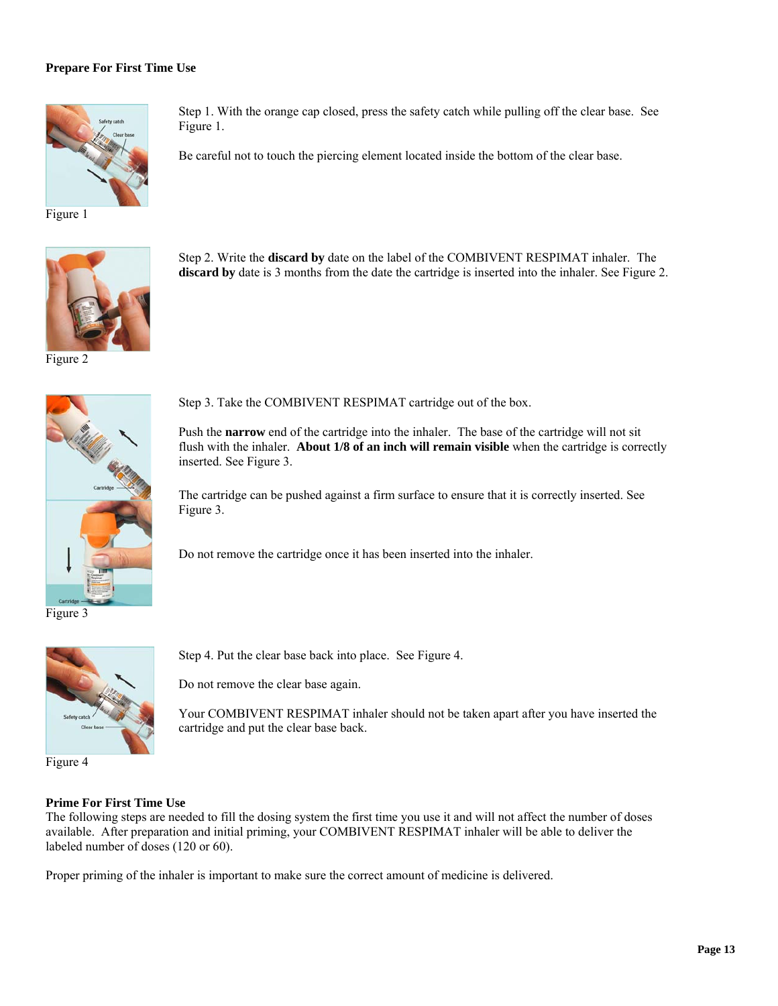## **Prepare For First Time Use**



Step 1. With the orange cap closed, press the safety catch while pulling off the clear base. See Figure 1.

Step 2. Write the **discard by** date on the label of the COMBIVENT RESPIMAT inhaler. The **discard by** date is 3 months from the date the cartridge is inserted into the inhaler. See Figure 2.

Be careful not to touch the piercing element located inside the bottom of the clear base.

Figure 1



Figure 2



Step 3. Take the COMBIVENT RESPIMAT cartridge out of the box.

Push the **narrow** end of the cartridge into the inhaler. The base of the cartridge will not sit flush with the inhaler. **About 1/8 of an inch will remain visible** when the cartridge is correctly inserted. See Figure 3.

The cartridge can be pushed against a firm surface to ensure that it is correctly inserted. See Figure 3.

Do not remove the cartridge once it has been inserted into the inhaler.

Figure 3



Step 4. Put the clear base back into place. See Figure 4.

Do not remove the clear base again.

Your COMBIVENT RESPIMAT inhaler should not be taken apart after you have inserted the cartridge and put the clear base back.

## **Prime For First Time Use**

The following steps are needed to fill the dosing system the first time you use it and will not affect the number of doses available. After preparation and initial priming, your COMBIVENT RESPIMAT inhaler will be able to deliver the labeled number of doses (120 or 60).

Proper priming of the inhaler is important to make sure the correct amount of medicine is delivered.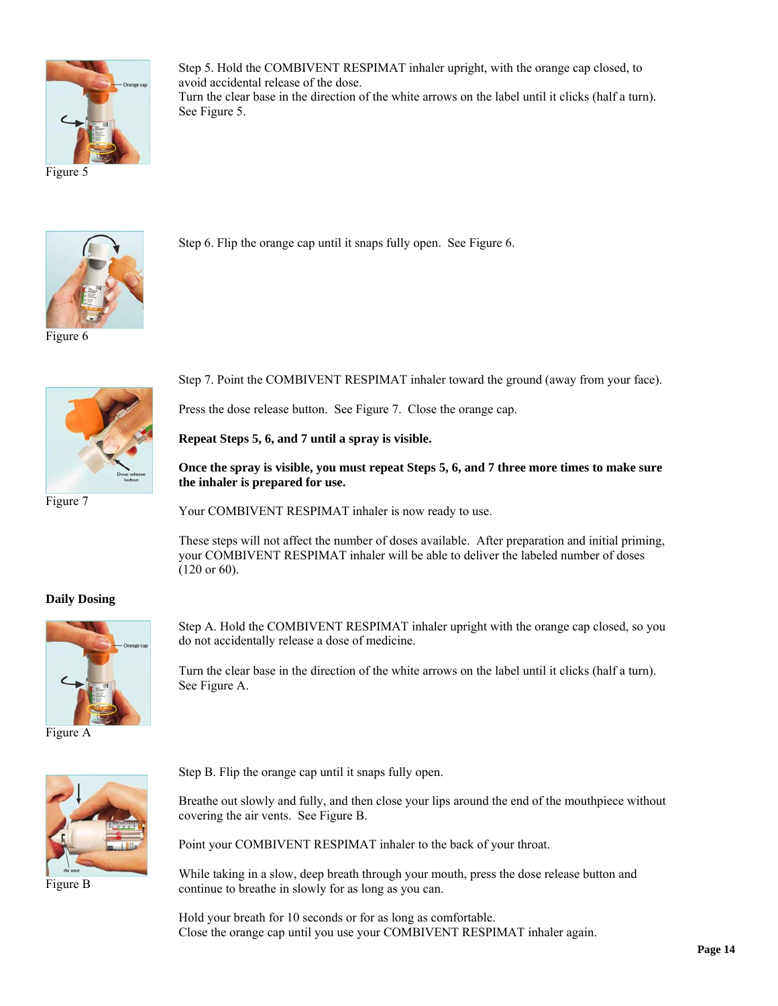

Step 5. Hold the COMBIVENT RESPIMAT inhaler upright, with the orange cap closed, to avoid accidental release of the dose. Turn the clear base in the direction of the white arrows on the label until it clicks (half a turn). See Figure 5.

Figure 5



Figure 6



Figure 7

Step 6. Flip the orange cap until it snaps fully open. See Figure 6.

Step 7. Point the COMBIVENT RESPIMAT inhaler toward the ground (away from your face).

Press the dose release button. See Figure 7. Close the orange cap.

**Repeat Steps 5, 6, and 7 until a spray is visible.** 

**Once the spray is visible, you must repeat Steps 5, 6, and 7 three more times to make sure the inhaler is prepared for use.** 

Your COMBIVENT RESPIMAT inhaler is now ready to use.

These steps will not affect the number of doses available. After preparation and initial priming, your COMBIVENT RESPIMAT inhaler will be able to deliver the labeled number of doses (120 or 60).

## **Daily Dosing**



Figure A

Step A. Hold the COMBIVENT RESPIMAT inhaler upright with the orange cap closed, so you do not accidentally release a dose of medicine.

Turn the clear base in the direction of the white arrows on the label until it clicks (half a turn). See Figure A.



Figure B

Step B. Flip the orange cap until it snaps fully open.

Breathe out slowly and fully, and then close your lips around the end of the mouthpiece without covering the air vents. See Figure B.

Point your COMBIVENT RESPIMAT inhaler to the back of your throat.

While taking in a slow, deep breath through your mouth, press the dose release button and continue to breathe in slowly for as long as you can.

Hold your breath for 10 seconds or for as long as comfortable. Close the orange cap until you use your COMBIVENT RESPIMAT inhaler again.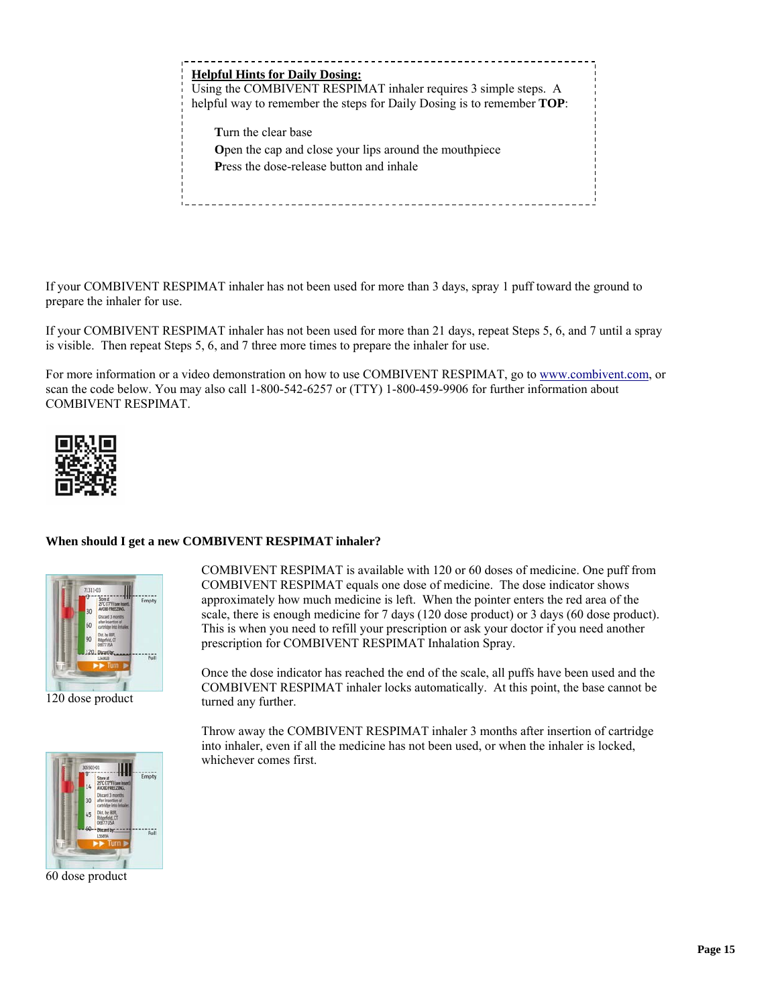| <b>Helpful Hints for Daily Dosing:</b><br>Using the COMBIVENT RESPIMAT inhaler requires 3 simple steps. A<br>helpful way to remember the steps for Daily Dosing is to remember <b>TOP</b> : |
|---------------------------------------------------------------------------------------------------------------------------------------------------------------------------------------------|
| Turn the clear base                                                                                                                                                                         |
| Open the cap and close your lips around the mouthpiece<br><b>Press the dose-release button and inhale</b>                                                                                   |
|                                                                                                                                                                                             |
|                                                                                                                                                                                             |

If your COMBIVENT RESPIMAT inhaler has not been used for more than 3 days, spray 1 puff toward the ground to prepare the inhaler for use.

If your COMBIVENT RESPIMAT inhaler has not been used for more than 21 days, repeat Steps 5, 6, and 7 until a spray is visible. Then repeat Steps 5, 6, and 7 three more times to prepare the inhaler for use.

For more information or a video demonstration on how to use COMBIVENT RESPIMAT, go to www.combivent.com, or scan the code below. You may also call 1-800-542-6257 or (TTY) 1-800-459-9906 for further information about COMBIVENT RESPIMAT.



## **When should I get a new COMBIVENT RESPIMAT inhaler?**



120 dose product

COMBIVENT RESPIMAT equals one dose of medicine. The dose indicator shows approximately how much medicine is left. When the pointer enters the red area of the scale, there is enough medicine for 7 days (120 dose product) or 3 days (60 dose product). This is when you need to refill your prescription or ask your doctor if you need another prescription for COMBIVENT RESPIMAT Inhalation Spray.

COMBIVENT RESPIMAT is available with 120 or 60 doses of medicine. One puff from

Once the dose indicator has reached the end of the scale, all puffs have been used and the COMBIVENT RESPIMAT inhaler locks automatically. At this point, the base cannot be turned any further.

Throw away the COMBIVENT RESPIMAT inhaler 3 months after insertion of cartridge into inhaler, even if all the medicine has not been used, or when the inhaler is locked, whichever comes first.



60 dose product